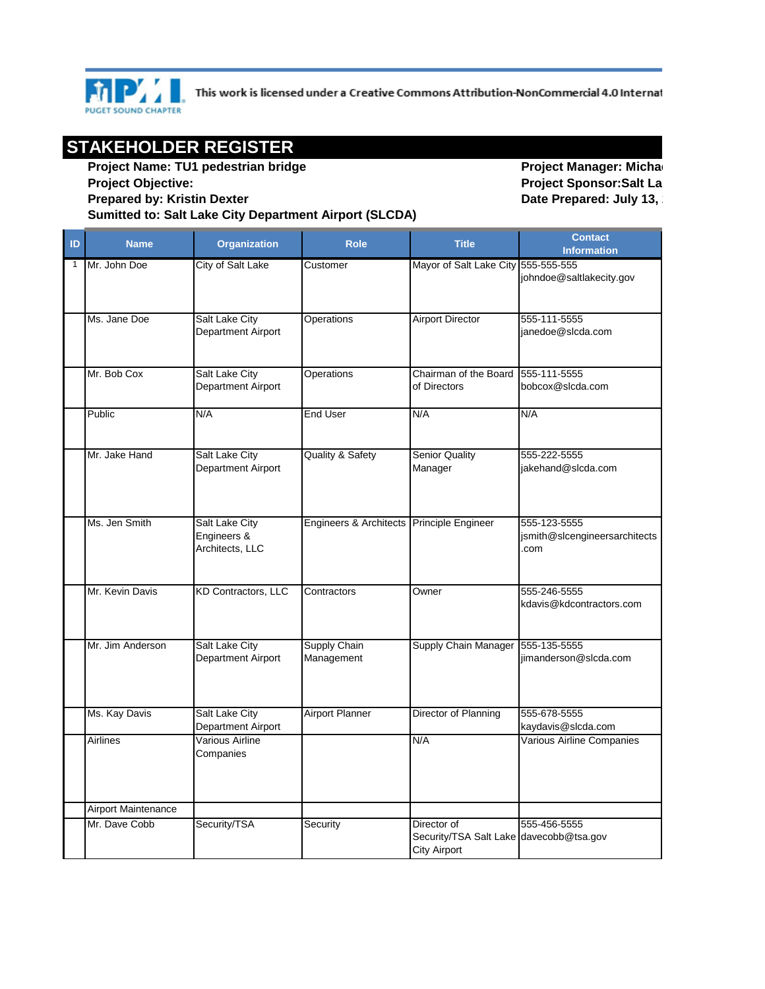

This work is licensed under a Creative Commons Attribution-NonCommercial 4.0 Internat

## **STAKEHOLDER REGISTER**

**Project Name: TU1 pedestrian bridge Project Objective: Prepared by: Kristin Dexter Sumitted to: Salt Lake City Department Airport (SLCDA)** 

**Project Manager: Micha Project Sponsor: Salt La Date Prepared: July 13,** 

| ID | <b>Name</b>         | <b>Organization</b>                                     | <b>Role</b>                               | <b>Title</b>                                                                  | <b>Contact</b><br><b>Information</b>                  |
|----|---------------------|---------------------------------------------------------|-------------------------------------------|-------------------------------------------------------------------------------|-------------------------------------------------------|
| 1  | Mr. John Doe        | City of Salt Lake                                       | Customer                                  | Mayor of Salt Lake City 555-555-555                                           | johndoe@saltlakecity.gov                              |
|    | Ms. Jane Doe        | <b>Salt Lake City</b><br>Department Airport             | <b>Operations</b>                         | <b>Airport Director</b>                                                       | 555-111-5555<br>janedoe@slcda.com                     |
|    | Mr. Bob Cox         | Salt Lake City<br>Department Airport                    | Operations                                | Chairman of the Board<br>of Directors                                         | 555-111-5555<br>bobcox@slcda.com                      |
|    | Public              | N/A                                                     | <b>End User</b>                           | N/A                                                                           | N/A                                                   |
|    | Mr. Jake Hand       | <b>Salt Lake City</b><br>Department Airport             | <b>Quality &amp; Safety</b>               | <b>Senior Quality</b><br>Manager                                              | 555-222-5555<br>jakehand@slcda.com                    |
|    | Ms. Jen Smith       | <b>Salt Lake City</b><br>Engineers &<br>Architects, LLC | Engineers & Architects Principle Engineer |                                                                               | 555-123-5555<br>jsmith@slcengineersarchitects<br>.com |
|    | Mr. Kevin Davis     | <b>KD Contractors, LLC</b>                              | Contractors                               | Owner                                                                         | 555-246-5555<br>kdavis@kdcontractors.com              |
|    | Mr. Jim Anderson    | Salt Lake City<br>Department Airport                    | Supply Chain<br>Management                | Supply Chain Manager                                                          | 555-135-5555<br>iimanderson@slcda.com                 |
|    | Ms. Kay Davis       | Salt Lake City<br>Department Airport                    | <b>Airport Planner</b>                    | Director of Planning                                                          | 555-678-5555<br>kaydavis@slcda.com                    |
|    | Airlines            | Various Airline<br>Companies                            |                                           | N/A                                                                           | Various Airline Companies                             |
|    | Airport Maintenance |                                                         |                                           |                                                                               |                                                       |
|    | Mr. Dave Cobb       | Security/TSA                                            | Security                                  | Director of<br>Security/TSA Salt Lake davecobb@tsa.gov<br><b>City Airport</b> | 555-456-5555                                          |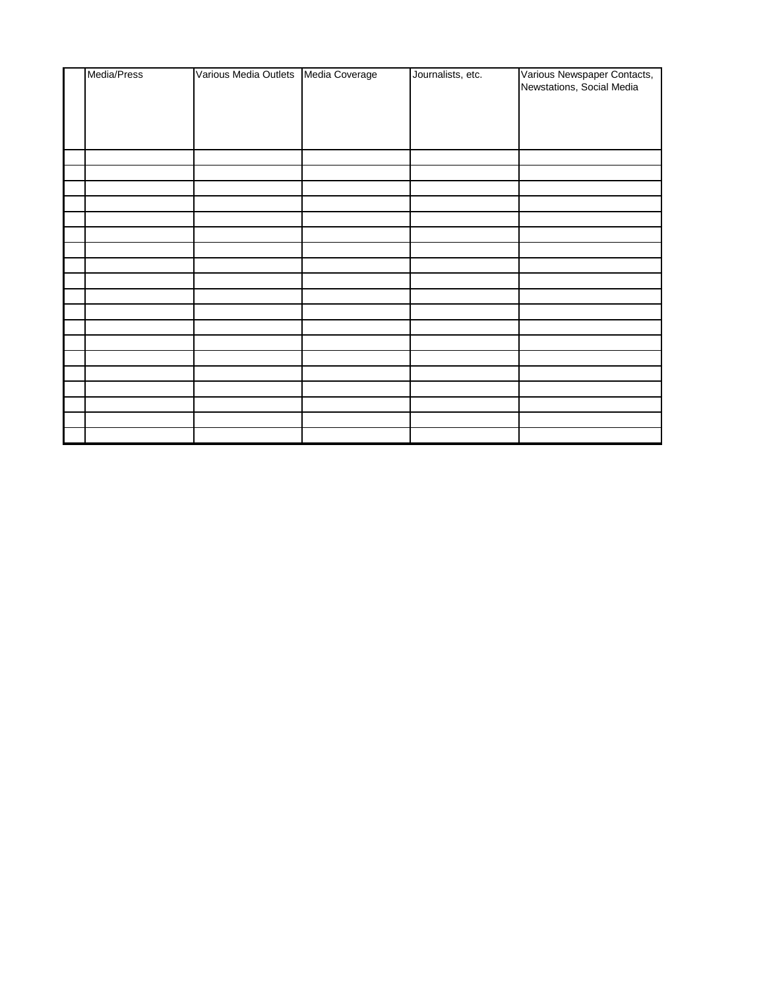| Media/Press | Various Media Outlets   Media Coverage | Journalists, etc. | Various Newspaper Contacts,<br>Newstations, Social Media |
|-------------|----------------------------------------|-------------------|----------------------------------------------------------|
|             |                                        |                   |                                                          |
|             |                                        |                   |                                                          |
|             |                                        |                   |                                                          |
|             |                                        |                   |                                                          |
|             |                                        |                   |                                                          |
|             |                                        |                   |                                                          |
|             |                                        |                   |                                                          |
|             |                                        |                   |                                                          |
|             |                                        |                   |                                                          |
|             |                                        |                   |                                                          |
|             |                                        |                   |                                                          |
|             |                                        |                   |                                                          |
|             |                                        |                   |                                                          |
|             |                                        |                   |                                                          |
|             |                                        |                   |                                                          |
|             |                                        |                   |                                                          |
|             |                                        |                   |                                                          |
|             |                                        |                   |                                                          |
|             |                                        |                   |                                                          |
|             |                                        |                   |                                                          |
|             |                                        |                   |                                                          |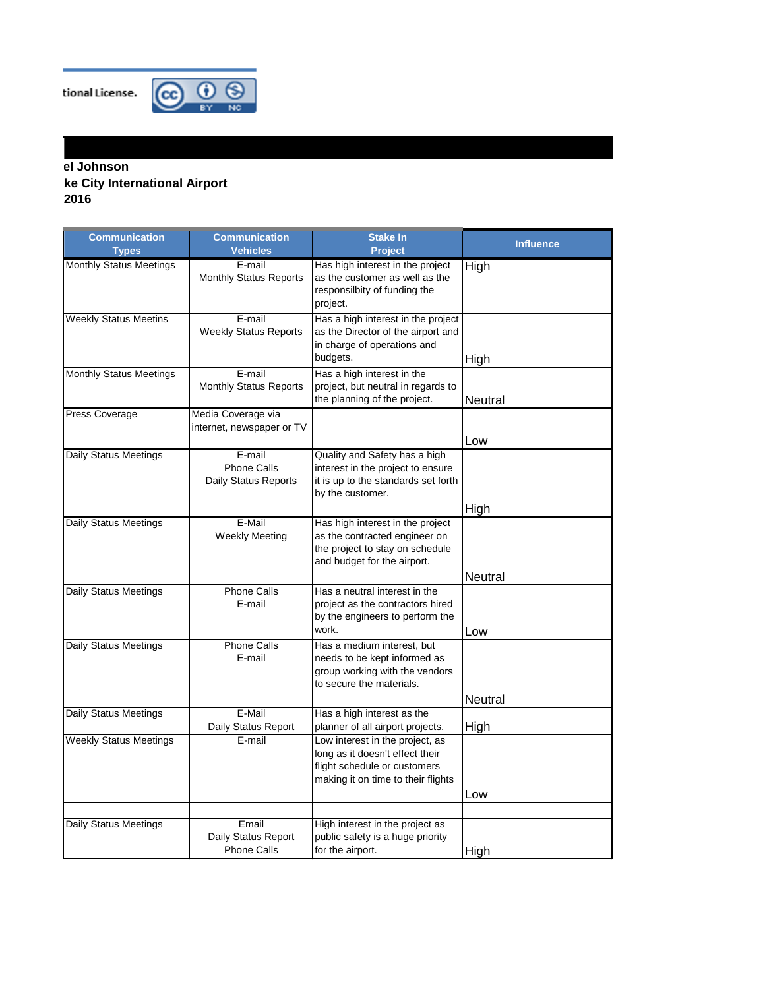tional License.



## **Product Product Re City International Airport 2016**

| <b>Communication</b><br><b>Types</b> | <b>Communication</b><br><b>Vehicles</b>              | <b>Stake In</b><br><b>Project</b>                                                                                                        | <b>Influence</b> |
|--------------------------------------|------------------------------------------------------|------------------------------------------------------------------------------------------------------------------------------------------|------------------|
| <b>Monthly Status Meetings</b>       | E-mail<br><b>Monthly Status Reports</b>              | Has high interest in the project<br>as the customer as well as the<br>responsilbity of funding the<br>project.                           | High             |
| <b>Weekly Status Meetins</b>         | E-mail<br><b>Weekly Status Reports</b>               | Has a high interest in the project<br>as the Director of the airport and<br>in charge of operations and<br>budgets.                      | High             |
| <b>Monthly Status Meetings</b>       | E-mail<br><b>Monthly Status Reports</b>              | Has a high interest in the<br>project, but neutral in regards to<br>the planning of the project.                                         | Neutral          |
| Press Coverage                       | Media Coverage via<br>internet, newspaper or TV      |                                                                                                                                          | Low              |
| Daily Status Meetings                | E-mail<br><b>Phone Calls</b><br>Daily Status Reports | Quality and Safety has a high<br>interest in the project to ensure<br>it is up to the standards set forth<br>by the customer.            |                  |
| Daily Status Meetings                | E-Mail<br><b>Weekly Meeting</b>                      | Has high interest in the project<br>as the contracted engineer on<br>the project to stay on schedule<br>and budget for the airport.      | High             |
| Daily Status Meetings                | <b>Phone Calls</b><br>E-mail                         | Has a neutral interest in the<br>project as the contractors hired<br>by the engineers to perform the<br>work.                            | Neutral<br>Low   |
| Daily Status Meetings                | <b>Phone Calls</b><br>E-mail                         | Has a medium interest, but<br>needs to be kept informed as<br>group working with the vendors<br>to secure the materials.                 | Neutral          |
| Daily Status Meetings                | E-Mail<br>Daily Status Report                        | Has a high interest as the<br>planner of all airport projects.                                                                           | High             |
| <b>Weekly Status Meetings</b>        | E-mail                                               | Low interest in the project, as<br>long as it doesn't effect their<br>flight schedule or customers<br>making it on time to their flights |                  |
|                                      |                                                      |                                                                                                                                          | Low              |
| Daily Status Meetings                | Email<br>Daily Status Report<br><b>Phone Calls</b>   | High interest in the project as<br>public safety is a huge priority<br>for the airport.                                                  | High             |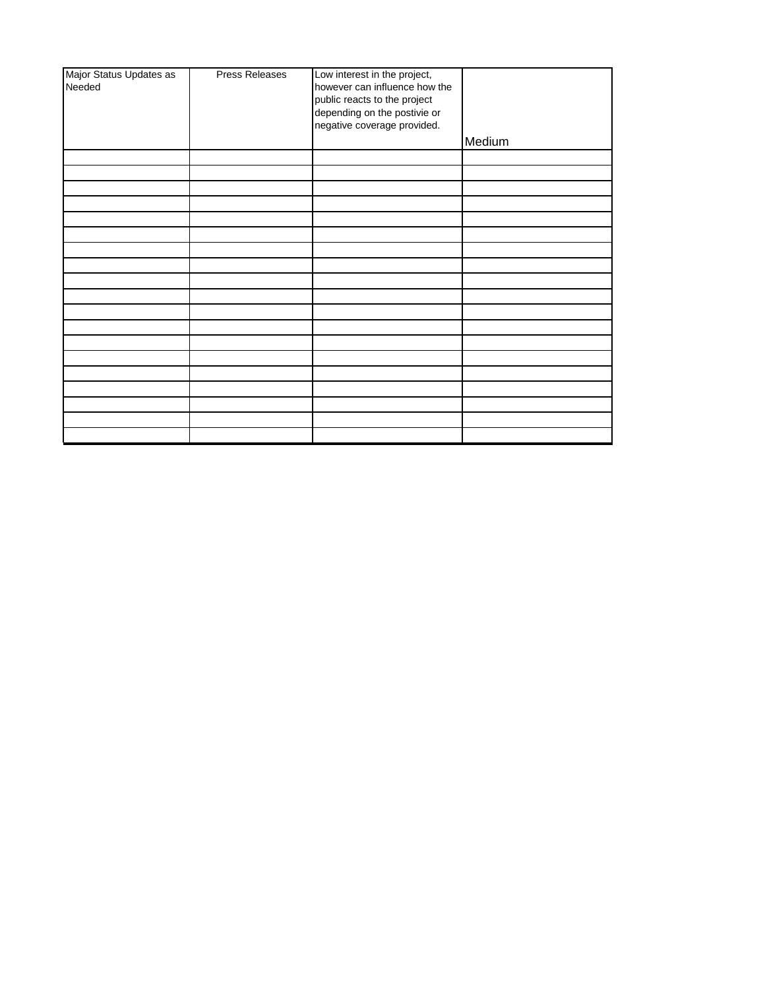| Major Status Updates as | <b>Press Releases</b> | Low interest in the project,  |        |
|-------------------------|-----------------------|-------------------------------|--------|
| Needed                  |                       | however can influence how the |        |
|                         |                       | public reacts to the project  |        |
|                         |                       |                               |        |
|                         |                       | depending on the postivie or  |        |
|                         |                       | negative coverage provided.   |        |
|                         |                       |                               |        |
|                         |                       |                               | Medium |
|                         |                       |                               |        |
|                         |                       |                               |        |
|                         |                       |                               |        |
|                         |                       |                               |        |
|                         |                       |                               |        |
|                         |                       |                               |        |
|                         |                       |                               |        |
|                         |                       |                               |        |
|                         |                       |                               |        |
|                         |                       |                               |        |
|                         |                       |                               |        |
|                         |                       |                               |        |
|                         |                       |                               |        |
|                         |                       |                               |        |
|                         |                       |                               |        |
|                         |                       |                               |        |
|                         |                       |                               |        |
|                         |                       |                               |        |
|                         |                       |                               |        |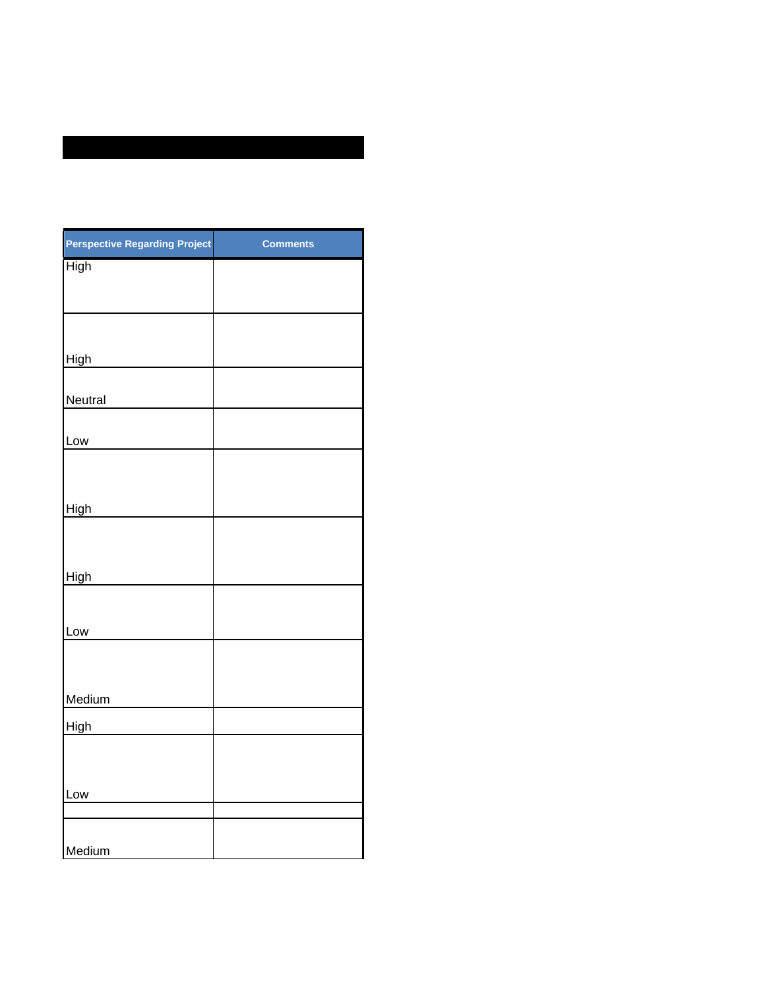| <b>Perspective Regarding Project</b> | <b>Comments</b> |
|--------------------------------------|-----------------|
| <b>High</b>                          |                 |
|                                      |                 |
|                                      |                 |
|                                      |                 |
| High                                 |                 |
|                                      |                 |
| Neutral                              |                 |
|                                      |                 |
| Low                                  |                 |
|                                      |                 |
|                                      |                 |
| High                                 |                 |
|                                      |                 |
|                                      |                 |
| High                                 |                 |
|                                      |                 |
| Low                                  |                 |
|                                      |                 |
|                                      |                 |
| Medium                               |                 |
| High                                 |                 |
|                                      |                 |
|                                      |                 |
| Low                                  |                 |
|                                      |                 |
|                                      |                 |
| Medium                               |                 |